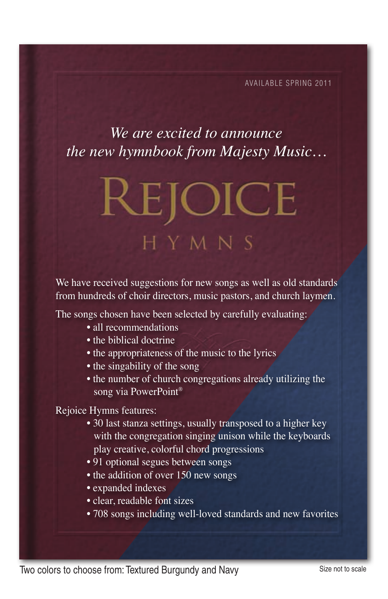Available spring 2011

#### *We are excited to announce the new hymnbook from Majesty Music…*

# **REJOICE** HYMNS

We have received suggestions for new songs as well as old standards from hundreds of choir directors, music pastors, and church laymen.

The songs chosen have been selected by carefully evaluating:

- all recommendations
- the biblical doctrine
- the appropriateness of the music to the lyrics
- the singability of the song
- the number of church congregations already utilizing the song via PowerPoint®

#### Rejoice Hymns features:

- 30 last stanza settings, usually transposed to a higher key with the congregation singing unison while the keyboards play creative, colorful chord progressions
- 91 optional segues between songs
- $\bullet$  the addition of over 150 new songs
- expanded indexes
- clear, readable font sizes
- 708 songs including well-loved standards and new favorites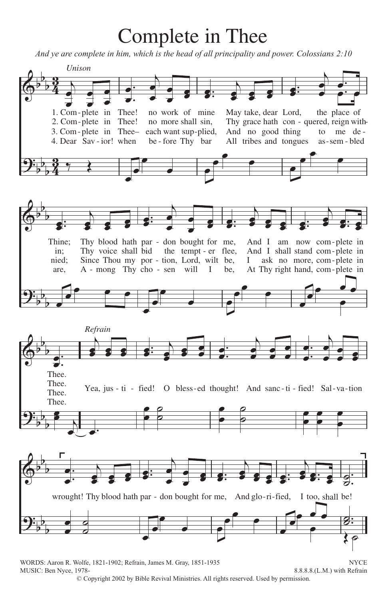# Complete in Thee

*And ye are complete in him, which is the head of all principality and power. Colossians 2:10*



MUSIC: Ben Nyce, 1978-<br>
8.8.8.8.(L.M.) with Refrain

© Copyright 2002 by Bible Revival Ministries. All rights reserved. Used by permission.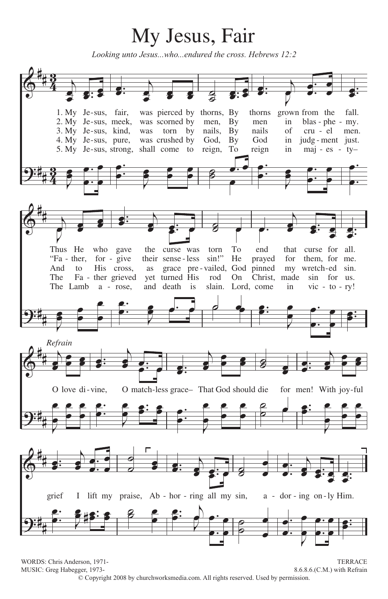## **316** My Jesus, Fair

*Looking unto Jesus...who...endured the cross. Hebrews 12:2*



WORDS: Chris Anderson, 1971- TERRACE MUSIC: Greg Habegger, 1973-<br>
8.6.8.6.(C.M.) with Refrain © Copyright 2008 by churchworksmedia.com. All rights reserved. Used by permission.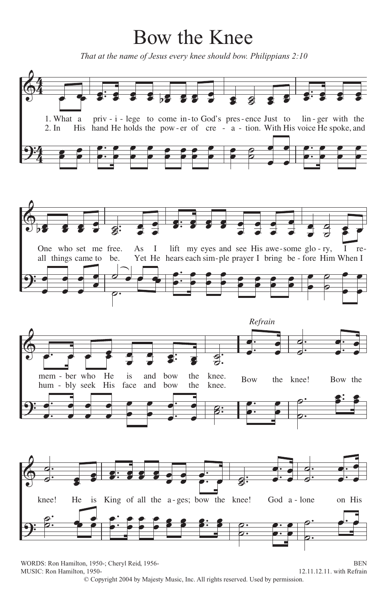### Bow the Knee

That at the name of Jesus every knee should bow. Philippians 2:10



WORDS: Ron Hamilton, 1950-; Cheryl Reid, 1956-**BEN** MUSIC: Ron Hamilton, 1950-12.11.12.11. with Refrain © Copyright 2004 by Majesty Music, Inc. All rights reserved. Used by permission.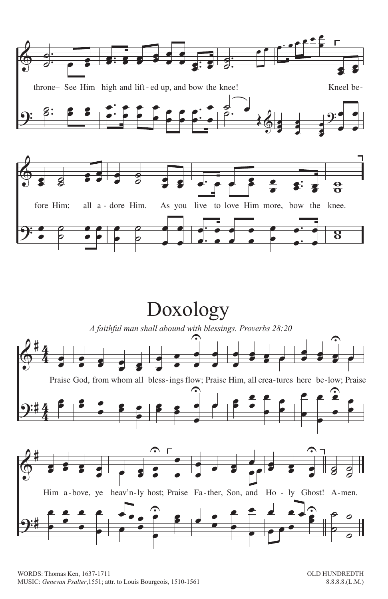

## Doxology

A faithful man shall abound with blessings. Proverbs 28:20



WORDS: Thomas Ken, 1637-1711 MUSIC: Genevan Psalter, 1551; attr. to Louis Bourgeois, 1510-1561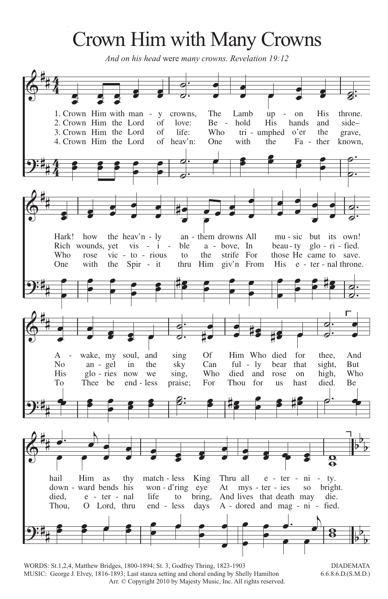# Crown Him with Many Crowns

And on his head were many crowns. Revelation 19:12



WORDS: St.1,2,4, Matthew Bridges, 1800-1894; St. 3, Godfrey Thring, 1823-1903 MUSIC: George J. Elvey, 1816-1893; Last stanza setting and choral ending by Shelly Hamilton Arr. © Copyright 2010 by Majesty Music, Inc. All rights reserved.

**DIADEMATA**  $6.6.8.6$ .D. $(S.M.D.)$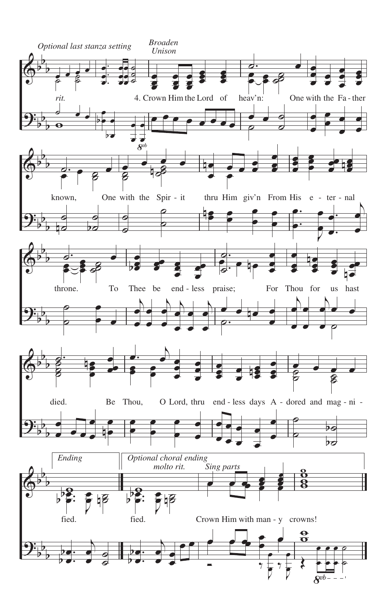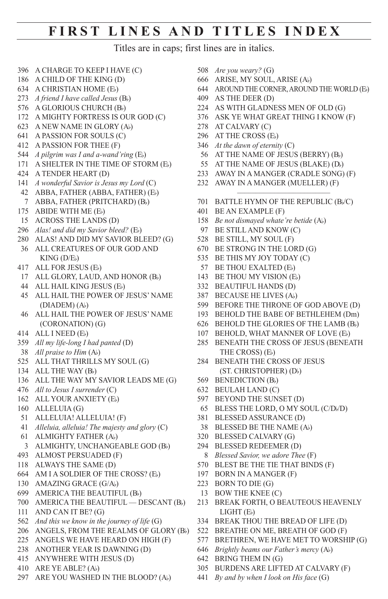#### **first lines and titles index**

Titles are in caps; first lines are in italics.

- A CHARGE TO KEEP I HAVE (C)
- A CHILD OF THE KING (D)
- A CHRISTIAN HOME (Eb)
- *A friend I have called Jesus* (Bb)
- A GLORIOUS CHURCH (Bb)
- A MIGHTY FORTRESS IS OUR GOD (C)
- A NEW NAME IN GLORY (Ab)
- A PASSION FOR SOULS (C)
- A PASSION FOR THEE (F)
- *A pilgrim was I and a-wand'ring* (Eb)
- A SHELTER IN THE TIME OF STORM (Eb)
- A TENDER HEART (D)
- *A wonderful Savior is Jesus my Lord* (C)
- ABBA, FATHER (ABBA, FATHER) (Eb) ABBA, FATHER (PRITCHARD) (Bb)
- ABIDE WITH ME (Eb)
- ACROSS THE LANDS (D)
- *Alas! and did my Savior bleed?* (Eb)
- ALAS! AND DID MY SAVIOR BLEED? (G)
- ALL CREATURES OF OUR GOD AND  $KING$   $(D/E_b)$
- ALL FOR JESUS (Eb)
- ALL GLORY, LAUD, AND HONOR (Bb)
- ALL HAIL KING JESUS (Eb)
- ALL HAIL THE POWER OF JESUS' NAME  $(DIADEM)(A)$
- ALL HAIL THE POWER OF JESUS' NAME (CORONATION) (G)
- ALL I NEED (Eb)
- *All my life-long I had panted* (D)
- *All praise to Him* (Ab)
- ALL THAT THRILLS MY SOUL (G)
- 134 ALL THE WAY (Bb)
- ALL THE WAY MY SAVIOR LEADS ME (G)
- *All to Jesus I surrender* (C)
- 162 ALL YOUR ANXIETY (E)
- ALLELUIA (G)
- ALLELUIA! ALLELUIA! (F)
- *Alleluia, alleluia! The majesty and glory* (C)
- ALMIGHTY FATHER (Ab)
- 3 ALMIGHTY, UNCHANGEABLE GOD (Bb)
- ALMOST PERSUADED (F)
- ALWAYS THE SAME (D)
- AM I A SOLDIER OF THE CROSS? (Eb)
- AMAZING GRACE (G/Ab)
- AMERICA THE BEAUTIFUL (Bb)
- AMERICA THE BEAUTIFUL DESCANT (Bb)
- AND CAN IT BE? (G)
- *And this we know in the journey of life* (G)
- ANGELS, FROM THE REALMS OF GLORY (Bb)
- ANGELS WE HAVE HEARD ON HIGH (F)
- ANOTHER YEAR IS DAWNING (D) ANYWHERE WITH JESUS (D)
- 
- ARE YE ABLE? (Ab)
- ARE YOU WASHED IN THE BLOOD? (Ab)
- *Are you weary?* (G)
- ARISE, MY SOUL, ARISE (Ab)
- AROUND THE CORNER, AROUND THE WORLD (Eb)
- AS THE DEER (D)
- AS WITH GLADNESS MEN OF OLD (G)
- ASK YE WHAT GREAT THING I KNOW (F)
- AT CALVARY (C)
- AT THE CROSS (Eb)
- *At the dawn of eternity* (C)
- AT THE NAME OF JESUS (BERRY) (Bb)
- 55 AT THE NAME OF JESUS (BLAKE) (Db)
- AWAY IN A MANGER (CRADLE SONG) (F)
- AWAY IN A MANGER (MUELLER) (F)
- BATTLE HYMN OF THE REPUBLIC (Bb/C)

–––––––––––––––––––––––––

- BE AN EXAMPLE (F)
- *Be not dismayed whate're betide* (Ab)
- BE STILL AND KNOW (C)
- BE STILL, MY SOUL (F)
- BE STRONG IN THE LORD (G)
- BE THIS MY JOY TODAY (C)
- BE THOU EXALTED (Eb)
- 143 BE THOU MY VISION (Eb)
- BEAUTIFUL HANDS (D)
- BECAUSE HE LIVES (Ab)
- BEFORE THE THRONE OF GOD ABOVE (D)
- BEHOLD THE BABE OF BETHLEHEM (Dm)
- BEHOLD THE GLORIES OF THE LAMB (Bb)
- BEHOLD, WHAT MANNER OF LOVE (Eb)
- BENEATH THE CROSS OF JESUS (BENEATH THE CROSS) (Eb)
- BENEATH THE CROSS OF JESUS (ST. CHRISTOPHER) (Db)
- BENEDICTION (Bb)
- BEULAH LAND (C)
- BEYOND THE SUNSET (D)
- 65 BLESS THE LORD, O MY SOUL (C/D)/D)
- BLESSED ASSURANCE (D)
- BLESSED BE THE NAME (Ab)
- BLESSED CALVARY (G)
- BLESSED REDEEMER (D)
- *Blessed Savior, we adore Thee* (F)
- BLEST BE THE TIE THAT BINDS (F)
- BORN IN A MANGER (F)
- BORN TO DIE (G)

BRING THEM IN (G)

- BOW THE KNEE (C)
- BREAK FORTH, O BEAUTEOUS HEAVENLY LIGHT (Eb)
- BREAK THOU THE BREAD OF LIFE (D)
- BREATHE ON ME, BREATH OF GOD (F)

 BURDENS ARE LIFTED AT CALVARY (F) *By and by when I look on His face* (G)

 BRETHREN, WE HAVE MET TO WORSHIP (G) *Brightly beams our Father's mercy* (Ab)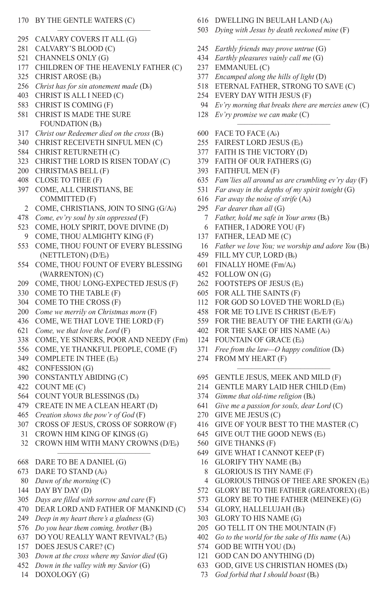#### BY THE GENTLE WATERS (C)

- CALVARY COVERS IT ALL (G)
- CALVARY'S BLOOD (C)
- CHANNELS ONLY (G)
- CHILDREN OF THE HEAVENLY FATHER (C)

–––––––––––––––––––––––––

- CHRIST AROSE (Bb)
- *Christ has for sin atonement made* (Db)
- CHRIST IS ALL I NEED (C)
- CHRIST IS COMING (F)
- CHRIST IS MADE THE SURE FOUNDATION (Bb)
- *Christ our Redeemer died on the cross* (Bb)
- CHRIST RECEIVETH SINFUL MEN (C)
- CHRIST RETURNETH (C)
- CHRIST THE LORD IS RISEN TODAY (C)
- CHRISTMAS BELL (F)
- CLOSE TO THEE (F)
- COME, ALL CHRISTIANS, BE COMMITTED (F)
	- COME, CHRISTIANS, JOIN TO SING (G/Ab)
- *Come, ev'ry soul by sin oppressed* (F)
- 523 COME, HOLY SPIRIT, DOVE DIVINE (D)
- COME, THOU ALMIGHTY KING (F)
- COME, THOU FOUNT OF EVERY BLESSING (NETTLETON) (D/Eb)
- COME, THOU FOUNT OF EVERY BLESSING (WARRENTON) (C)
- COME, THOU LONG-EXPECTED JESUS (F)
- COME TO THE TABLE (F)
- COME TO THE CROSS (F)
- *Come we merrily on Christmas morn* (F)
- COME, WE THAT LOVE THE LORD (F)
- *Come, we that love the Lord* (F)
- COME, YE SINNERS, POOR AND NEEDY (Fm)
- COME, YE THANKFUL PEOPLE, COME (F)
- 349 COMPLETE IN THEE (E)
- CONFESSION (G)
- CONSTANTLY ABIDING (C)
- COUNT ME (C)
- COUNT YOUR BLESSINGS (Db)
- CREATE IN ME A CLEAN HEART (D)
- *Creation shows the pow'r of God* (F)
- CROSS OF JESUS, CROSS OF SORROW (F)
- CROWN HIM KING OF KINGS (G)
- CROWN HIM WITH MANY CROWNS (D/Eb) –––––––––––––––––––––––––
- DARE TO BE A DANIEL (G)
- DARE TO STAND (Ab)
- *Dawn of the morning* (C)
- DAY BY DAY (D)
- *Days are filled with sorrow and care* (F)
- DEAR LORD AND FATHER OF MANKIND (C)
- *Deep in my heart there's a gladness* (G)
- *Do you hear them coming, brother* (Bb)
- DO YOU REALLY WANT REVIVAL? (Eb)
- DOES JESUS CARE? (C)
- *Down at the cross where my Savior died* (G)
- *Down in the valley with my Savior* (G)
- DOXOLOGY (G)
- DWELLING IN BEULAH LAND (Ab)
- *Dying with Jesus by death reckoned mine* (F) –––––––––––––––––––––––––
- *Earthly friends may prove untrue* (G)
- *Earthly pleasures vainly call me* (G)
- EMMANUEL (C)
- *Encamped along the hills of light* (D)
- ETERNAL FATHER, STRONG TO SAVE (C)
- EVERY DAY WITH JESUS (F)
- *Ev'ry morning that breaks there are mercies anew* (C) –––––––––––––––––––––––––
- *Ev'ry promise we can make* (C)
- FACE TO FACE (Ab)
- FAIREST LORD JESUS (Eb)
- FAITH IS THE VICTORY (D)
- FAITH OF OUR FATHERS (G)
- FAITHFUL MEN (F)
- *Fam'lies all around us are crumbling ev'ry day* (F)
- *Far away in the depths of my spirit tonight* (G)
- *Far away the noise of strife* (Ab)
- *Far dearer than all* (G)
- *Father, hold me safe in Your arms* (Bb)
- FATHER, I ADORE YOU (F)
- FATHER, LEAD ME (C)
- *Father we love You; we worship and adore You* (Bb)
- 459 FILL MY CUP, LORD (Bb)
- FINALLY HOME (Fm/Ab)
- FOLLOW ON (G)
- FOOTSTEPS OF JESUS (Eb)
- FOR ALL THE SAINTS (F)
- FOR GOD SO LOVED THE WORLD (Eb)
- FOR ME TO LIVE IS CHRIST (Eb/E/F)
- FOR THE BEAUTY OF THE EARTH (G/Ab)
- FOR THE SAKE OF HIS NAME (Ab)
- FOUNTAIN OF GRACE (Eb)
- *Free from the law—O happy condition* (Db)
- FROM MY HEART (F) –––––––––––––––––––––––––
- GENTLE JESUS, MEEK AND MILD (F)
- GENTLE MARY LAID HER CHILD (Em)
- *Gimme that old-time religion* (Bb)
- *Give me a passion for souls, dear Lord* (C)
- GIVE ME JESUS (C)
- GIVE OF YOUR BEST TO THE MASTER (C)

 GLORY BE TO THE FATHER (GREATOREX) (Eb) GLORY BE TO THE FATHER (MEINEKE) (G)

- GIVE OUT THE GOOD NEWS (Eb)
- GIVE THANKS (F)
- GIVE WHAT I CANNOT KEEP (F)
- 16 GLORIFY THY NAME (B)

 GLORY, HALLELUJAH (Bb) GLORY TO HIS NAME (G)

574 GOD BE WITH YOU (Db) GOD CAN DO ANYTHING (D) GOD, GIVE US CHRISTIAN HOMES (Db) *God forbid that I should boast* (Bb)

 GO TELL IT ON THE MOUNTAIN (F) *Go to the world for the sake of His name* (Ab)

 GLORIOUS IS THY NAME (F) GLORIOUS THINGS OF THEE ARE SPOKEN (Eb)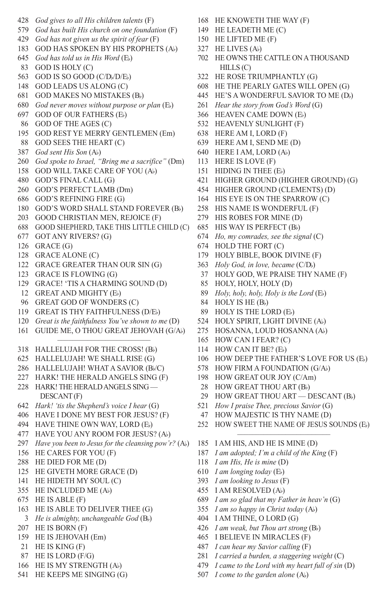*God gives to all His children talents* (F) *God has built His church on one foundation* (F) *God has not given us the spirit of fear* (F) GOD HAS SPOKEN BY HIS PROPHETS (Ab) *God has told us in His Word* (Eb) GOD IS HOLY (C) 563 GOD IS SO GOOD (C/D<sub>b</sub>/D/E<sub>b</sub>) GOD LEADS US ALONG (C) GOD MAKES NO MISTAKES (Bb) *God never moves without purpose or plan* (Eb) GOD OF OUR FATHERS (Eb) GOD OF THE AGES (C) GOD REST YE MERRY GENTLEMEN (Em) GOD SEES THE HEART (C) *God sent His Son* (Ab) *God spoke to Israel, "Bring me a sacrifice"* (Dm) GOD WILL TAKE CARE OF YOU (Ab) GOD'S FINAL CALL (G) GOD'S PERFECT LAMB (Dm) GOD'S REFINING FIRE (G) GOD'S WORD SHALL STAND FOREVER (Bb) GOOD CHRISTIAN MEN, REJOICE (F) GOOD SHEPHERD, TAKE THIS LITTLE CHILD (C) GOT ANY RIVERS? (G) GRACE (G) GRACE ALONE (C) GRACE GREATER THAN OUR SIN (G) GRACE IS FLOWING (G) GRACE! 'TIS A CHARMING SOUND (D) GREAT AND MIGHTY (Eb) GREAT GOD OF WONDERS (C) GREAT IS THY FAITHFULNESS (D/Eb) *Great is the faithfulness You've shown to me* (D) GUIDE ME, O THOU GREAT JEHOVAH (G/Ab) ––––––––––––––––––––––––– HALLELUJAH FOR THE CROSS! (Bb) HALLELUJAH! WE SHALL RISE (G) HALLELUJAH! WHAT A SAVIOR (Bb/C) HARK! THE HERALD ANGELS SING (F) HARK! THE HERALD ANGELS SING — DESCANT (F) *Hark! 'tis the Shepherd's voice I hear* (G) HAVE I DONE MY BEST FOR JESUS? (F) HAVE THINE OWN WAY, LORD (Eb) HAVE YOU ANY ROOM FOR JESUS? (Ab) *Have you been to Jesus for the cleansing pow'r?* (Ab) HE CARES FOR YOU (F) HE DIED FOR ME (D) HE GIVETH MORE GRACE (D) HE HIDETH MY SOUL (C) HE INCLUDED ME (Ab) HE IS ABLE (F) HE IS ABLE TO DELIVER THEE (G) *He is almighty, unchangeable God* (Bb) HE IS BORN (F) HE IS JEHOVAH (Em) HE IS KING (F) HE IS LORD (F/G) HE IS MY STRENGTH (Ab) HE KEEPS ME SINGING (G)

- HE KNOWETH THE WAY (F)
- HE LEADETH ME (C)
- HE LIFTED ME (F)
- HE LIVES (Ab)
- HE OWNS THE CATTLE ON A THOUSAND HILLS (C)
- HE ROSE TRIUMPHANTLY (G)
- HE THE PEARLY GATES WILL OPEN (G)
- HE'S A WONDERFUL SAVIOR TO ME (Db)
- *Hear the story from God's Word* (G)
- HEAVEN CAME DOWN (Eb)
- HEAVENLY SUNLIGHT (F)
- HERE AM I, LORD (F)
- HERE AM I, SEND ME (D)
- HERE I AM, LORD (Ab)
- HERE IS LOVE (F)
- 151 HIDING IN THEE (E)
- HIGHER GROUND (HIGHER GROUND) (G)
- HIGHER GROUND (CLEMENTS) (D)
- HIS EYE IS ON THE SPARROW (C)
- HIS NAME IS WONDERFUL (F)
- HIS ROBES FOR MINE (D)
- HIS WAY IS PERFECT (Bb)
- *Ho, my comrades, see the signal* (C)
- HOLD THE FORT (C)
- HOLY BIBLE, BOOK DIVINE (F)
- 363 *Holy God, in love, became* (C/D<sub>b</sub>)
- HOLY GOD, WE PRAISE THY NAME (F)
- HOLY, HOLY, HOLY (D)
- *Holy, holy, holy, Holy is the Lord* (Eb)
- 84 HOLY IS HE (Bb)
- HOLY IS THE LORD (Eb)
- HOLY SPIRIT, LIGHT DIVINE (Ab)
- HOSANNA, LOUD HOSANNA (Ab)
- HOW CAN I FEAR? (C)
- HOW CAN IT BE? (Eb)
- 106 HOW DEEP THE FATHER'S LOVE FOR US (E)
- HOW FIRM A FOUNDATION (G/Ab)
- HOW GREAT OUR JOY (C/Am)
- 28 HOW GREAT THOU ART (B<sub>b</sub>)<br>29 HOW GREAT THOU ART I
- HOW GREAT THOU ART DESCANT (Bb)
- *How I praise Thee, precious Savior* (G)
- HOW MAJESTIC IS THY NAME (D)
- HOW SWEET THE NAME OF JESUS SOUNDS (Eb) –––––––––––––––––––––––––
- I AM HIS, AND HE IS MINE (D)
- *I am adopted; I'm a child of the King* (F)
- *I am His, He is mine* (D)
- *I am longing today* (Eb)
- *I am looking to Jesus* (F)
- I AM RESOLVED (Ab)
- *I am so glad that my Father in heav'n* (G)
- *I am so happy in Christ today* (Ab)
- I AM THINE, O LORD (G)
- *I am weak, but Thou art strong* (Bb)
- I BELIEVE IN MIRACLES (F)
- *I can hear my Savior calling* (F)
- *I carried a burden, a staggering weight* (C)
- *I came to the Lord with my heart full of sin* (D)
- *I come to the garden alone* (Ab)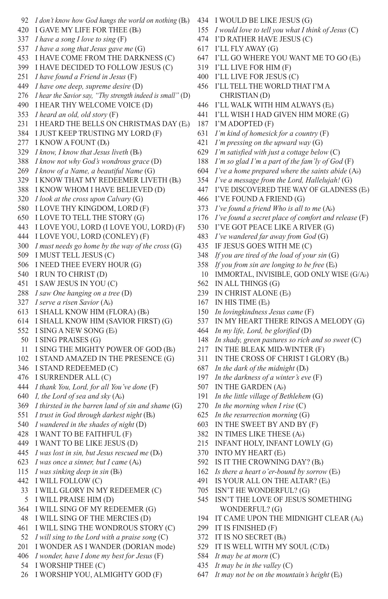- *I don't know how God hangs the world on nothing* (Bb) I GAVE MY LIFE FOR THEE (Bb) *I have a song I love to sing* (F) *I have a song that Jesus gave me* (G) I HAVE COME FROM THE DARKNESS (C) I HAVE DECIDED TO FOLLOW JESUS (C) *I have found a Friend in Jesus* (F) *I have one deep, supreme desire* (D) *I hear the Savior say, "Thy strength indeed is small"* (D) I HEAR THY WELCOME VOICE (D) *I heard an old, old story* (F) I HEARD THE BELLS ON CHRISTMAS DAY (Eb) I JUST KEEP TRUSTING MY LORD (F) 277 I KNOW A FOUNT (Db) *I know, I know that Jesus liveth* (Bb) *I know not why God's wondrous grace* (D) *I know of a Name, a beautiful Name* (G) I KNOW THAT MY REDEEMER LIVETH (Bb) I KNOW WHOM I HAVE BELIEVED (D) *I look at the cross upon Calvary* (G) I LOVE THY KINGDOM, LORD (F) I LOVE TO TELL THE STORY (G) I LOVE YOU, LORD (I LOVE YOU, LORD) (F) I LOVE YOU, LORD (CONLEY) (F) *I must needs go home by the way of the cross* (G) I MUST TELL JESUS (C) I NEED THEE EVERY HOUR (G) I RUN TO CHRIST (D) I SAW JESUS IN YOU (C) *I saw One hanging on a tree* (D) *I serve a risen Savior* (Ab) I SHALL KNOW HIM (FLORA) (Bb) I SHALL KNOW HIM (SAVIOR FIRST) (G) I SING A NEW SONG (Eb) I SING PRAISES (G) I SING THE MIGHTY POWER OF GOD (Bb) I STAND AMAZED IN THE PRESENCE (G) I STAND REDEEMED (C) I SURRENDER ALL (C) *I thank You, Lord, for all You've done* (F) *I, the Lord of sea and sky* (Ab) *I thirsted in the barren land of sin and shame* (G) *I trust in God through darkest night* (Bb) *I wandered in the shades of night* (D) I WANT TO BE FAITHFUL (F) I WANT TO BE LIKE JESUS (D) 445 *I was lost in sin, but Jesus rescued me* (D<sub>b</sub>) *I was once a sinner, but I came* (Ab) *I was sinking deep in sin* (Bb) I WILL FOLLOW (C) I WILL GLORY IN MY REDEEMER (C) I WILL PRAISE HIM (D) I WILL SING OF MY REDEEMER (G) I WILL SING OF THE MERCIES (D) I WILL SING THE WONDROUS STORY (C) *I will sing to the Lord with a praise song* (C) I WONDER AS I WANDER (DORIAN mode) *I wonder, have I done my best for Jesus* (F) I WORSHIP THEE (C)
- I WORSHIP YOU, ALMIGHTY GOD (F)
- I WOULD BE LIKE JESUS (G)
- *I would love to tell you what I think of Jesus* (C)
- I'D RATHER HAVE JESUS (C)
- I'LL FLY AWAY (G)
- I'LL GO WHERE YOU WANT ME TO GO (Eb)
- I'LL LIVE FOR HIM (F)
- I'LL LIVE FOR JESUS (C)
- I'LL TELL THE WORLD THAT I'M A CHRISTIAN (D)
- I'LL WALK WITH HIM ALWAYS (Eb)
- I'LL WISH I HAD GIVEN HIM MORE (G)
- I'M ADOPTED (F)
- *I'm kind of homesick for a country* (F)
- *I'm pressing on the upward way* (G)
- *I'm satisfied with just a cottage below* (C)
- *I'm so glad I'm a part of the fam'ly of God* (F)
- *I've a home prepared where the saints abide* (Ab)
- *I've a message from the Lord, Hallelujah!* (G)
- I'VE DISCOVERED THE WAY OF GLADNESS (Eb)
- I'VE FOUND A FRIEND (G)
- *I've found a friend Who is all to me* (Ab)
- *I've found a secret place of comfort and release* (F)
- I'VE GOT PEACE LIKE A RIVER (G)
- *I've wandered far away from God* (G)
- IF JESUS GOES WITH ME (C)
- *If you are tired of the load of your sin* (G)
- *If you from sin are longing to be free* (Eb)
- IMMORTAL, INVISIBLE, GOD ONLY WISE (G/Ab)
- IN ALL THINGS (G)
- IN CHRIST ALONE (Eb)
- IN HIS TIME (Eb)
- *In lovingkindness Jesus came* (F)
- IN MY HEART THERE RINGS A MELODY (G)
- *In my life, Lord, be glorified* (D)
- *In shady, green pastures so rich and so sweet* (C)
- IN THE BLEAK MID-WINTER (F)
- IN THE CROSS OF CHRIST I GLORY (Bb)
- *In the dark of the midnight* (Db)
- *In the darkness of a winter's eve* (F)
- IN THE GARDEN (Ab)
- *In the little village of Bethlehem* (G)
- *In the morning when I rise* (C)
- *In the resurrection morning* (G)
- IN THE SWEET BY AND BY (F)
- IN TIMES LIKE THESE (Ab)
- INFANT HOLY, INFANT LOWLY (G)
- INTO MY HEART (Eb)
- IS IT THE CROWNING DAY? (Bb)
- *Is there a heart o'er-bound by sorrow* (Eb)
- IS YOUR ALL ON THE ALTAR? (Eb)
- ISN'T HE WONDERFUL? (G)
- ISN'T THE LOVE OF JESUS SOMETHING WONDERFUL? (G)
- IT CAME UPON THE MIDNIGHT CLEAR (Ab)
- IT IS FINISHED (F)
- IT IS NO SECRET (Bb)
- 529 IT IS WELL WITH MY SOUL (C/D)
- *It may be at morn* (C)
- *It may be in the valley* (C)
- *It may not be on the mountain's height* (Eb)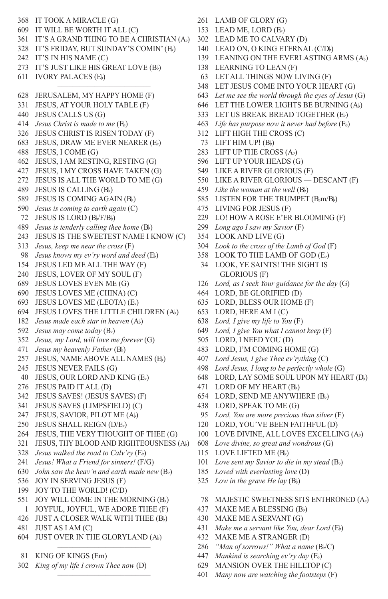IT TOOK A MIRACLE (G) IT WILL BE WORTH IT ALL (C) IT'S A GRAND THING TO BE A CHRISTIAN (Ab) IT'S FRIDAY, BUT SUNDAY'S COMIN' (Eb) IT'S IN HIS NAME (C) IT'S JUST LIKE HIS GREAT LOVE (Bb) IVORY PALACES (Eb) ––––––––––––––––––––––––– JERUSALEM, MY HAPPY HOME (F) JESUS, AT YOUR HOLY TABLE (F) JESUS CALLS US (G) *Jesus Christ is made to me* (Eb) JESUS CHRIST IS RISEN TODAY (F) JESUS, DRAW ME EVER NEARER (Eb) JESUS, I COME (G) JESUS, I AM RESTING, RESTING (G) JESUS, I MY CROSS HAVE TAKEN (G) JESUS IS ALL THE WORLD TO ME (G) JESUS IS CALLING (Bb) JESUS IS COMING AGAIN (Bb) *Jesus is coming to earth again* (C) 72 JESUS IS LORD (B<sub>b</sub>/F/B<sub>b</sub>) *Jesus is tenderly calling thee home* (Bb) JESUS IS THE SWEETEST NAME I KNOW (C) *Jesus, keep me near the cross* (F) *Jesus knows my ev'ry word and deed* (Eb) JESUS LED ME ALL THE WAY (F) JESUS, LOVER OF MY SOUL (F) JESUS LOVES EVEN ME (G) JESUS LOVES ME (CHINA) (C) JESUS LOVES ME (LEOTA) (Eb) JESUS LOVES THE LITTLE CHILDREN (Ab) *Jesus made each star in heaven* (Ab) *Jesus may come today* (Bb) *Jesus, my Lord, will love me forever* (G) *Jesus my heavenly Father* (Bb) JESUS, NAME ABOVE ALL NAMES (Eb) JESUS NEVER FAILS (G) JESUS, OUR LORD AND KING (Eb) JESUS PAID IT ALL (D) JESUS SAVES! (JESUS SAVES) (F) JESUS SAVES (LIMPSFIELD) (C) JESUS, SAVIOR, PILOT ME (Ab) JESUS SHALL REIGN (D/Eb) JESUS, THE VERY THOUGHT OF THEE (G) JESUS, THY BLOOD AND RIGHTEOUSNESS (Ab) *Jesus walked the road to Calv'ry* (Eb) *Jesus! What a Friend for sinners!* (F/G) *John saw the heav'n and earth made new* (Bb) JOY IN SERVING JESUS (F) JOY TO THE WORLD! (C/D) 551 JOY WILL COME IN THE MORNING (B) JOYFUL, JOYFUL, WE ADORE THEE (F) JUST A CLOSER WALK WITH THEE (Bb) JUST AS I AM (C) JUST OVER IN THE GLORYLAND (Ab) –––––––––––––––––––––––––

- KING OF KINGS (Em)
- *King of my life I crown Thee now* (D)

–––––––––––––––––––––––––

- LAMB OF GLORY (G)
- LEAD ME, LORD (Eb)
- LEAD ME TO CALVARY (D)
- 140 LEAD ON, O KING ETERNAL (C/D)
- LEANING ON THE EVERLASTING ARMS (Ab)
- LEARNING TO LEAN (F)
- LET ALL THINGS NOW LIVING (F)
- LET JESUS COME INTO YOUR HEART (G)
- *Let me see the world through the eyes of Jesus* (G)
- LET THE LOWER LIGHTS BE BURNING (Ab)
- LET US BREAK BREAD TOGETHER (Eb)
- *Life has purpose now it never had before* (Eb)
- LIFT HIGH THE CROSS (C)
- LIFT HIM UP! (Bb)
- LIFT UP THE CROSS (Ab)
- LIFT UP YOUR HEADS (G)
- LIKE A RIVER GLORIOUS (F)
- LIKE A RIVER GLORIOUS DESCANT (F)
- *Like the woman at the well* (Bb)
- 585 LISTEN FOR THE TRUMPET (Bbm/Bb)
- LIVING FOR JESUS (F)
- LO! HOW A ROSE E'ER BLOOMING (F)
- *Long ago I saw my Savior* (F)
- LOOK AND LIVE (G)
- *Look to the cross of the Lamb of God* (F)
- LOOK TO THE LAMB OF GOD (Eb)
- LOOK, YE SAINTS! THE SIGHT IS GLORIOUS (F)
- *Lord, as I seek Your guidance for the day* (G)
- LORD, BE GLORIFIED (D)
- LORD, BLESS OUR HOME (F)
- LORD, HERE AM I (C)
- *Lord, I give my life to You* (F)
- *Lord, I give You what I cannot keep* (F)
- LORD, I NEED YOU (D)
- LORD, I'M COMING HOME (G)
- *Lord Jesus, I give Thee ev'rything* (C)
- *Lord Jesus, I long to be perfectly whole* (G)
- LORD, LAY SOME SOUL UPON MY HEART (Db)
- LORD OF MY HEART (Bb)
- LORD, SEND ME ANYWHERE (Bb)
- LORD, SPEAK TO ME (G)
- *Lord, You are more precious than silver* (F)
- LORD, YOU'VE BEEN FAITHFUL (D)
- LOVE DIVINE, ALL LOVES EXCELLING (Ab)
- *Love divine, so great and wondrous* (G)
- 115 LOVE LIFTED ME (B<sub>b</sub>)
- *Love sent my Savior to die in my stead* (Bb)
- *Loved with everlasting love* (D)
- *Low in the grave He lay* (Bb)
- ––––––––––––––––––––––––– 78 MAJESTIC SWEETNESS SITS ENTHRONED (Ab)
- MAKE ME A BLESSING (Bb)
- MAKE ME A SERVANT (G)
- *Make me a servant like You, dear Lord* (Eb)
- MAKE ME A STRANGER (D)
- *"Man of sorrows!" What a name* (Bb/C)
- *Mankind is searching ev'ry day* (Eb)
- MANSION OVER THE HILLTOP (C)
- *Many now are watching the footsteps* (F)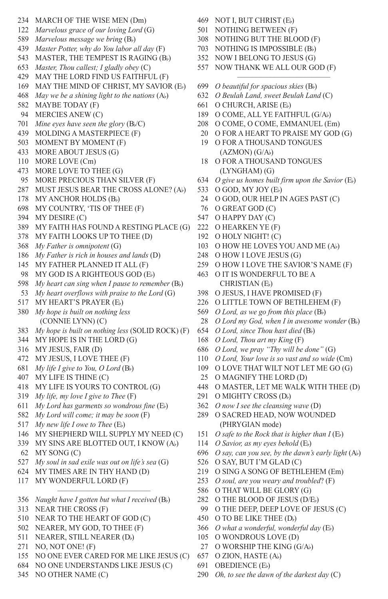- MARCH OF THE WISE MEN (Dm) *Marvelous grace of our loving Lord* (G) *Marvelous message we bring* (Bb) *Master Potter, why do You labor all day* (F) MASTER, THE TEMPEST IS RAGING (Bb) *Master, Thou callest; I gladly obey* (C) MAY THE LORD FIND US FAITHFUL (F) MAY THE MIND OF CHRIST, MY SAVIOR (Eb) *May we be a shining light to the nations* (Ab) MAYBE TODAY (F) MERCIES ANEW (C) 701 *Mine eyes have seen the glory* (B $/$ C) MOLDING A MASTERPIECE (F) MOMENT BY MOMENT (F) MORE ABOUT JESUS (G) MORE LOVE (Cm) MORE LOVE TO THEE (G) MORE PRECIOUS THAN SILVER (F) MUST JESUS BEAR THE CROSS ALONE? (Ab) 178 MY ANCHOR HOLDS (Bb) MY COUNTRY, 'TIS OF THEE (F) MY DESIRE (C) MY FAITH HAS FOUND A RESTING PLACE (G) MY FAITH LOOKS UP TO THEE (D) *My Father is omnipotent* (G) *My Father is rich in houses and lands* (D) MY FATHER PLANNED IT ALL (F) MY GOD IS A RIGHTEOUS GOD (Eb) *My heart can sing when I pause to remember* (Bb) *My heart overflows with praise to the Lord* (G) MY HEART'S PRAYER (Eb) *My hope is built on nothing less* (CONNIE LYNN) (C) *My hope is built on nothing less* (SOLID ROCK) (F) MY HOPE IS IN THE LORD (G) MY JESUS, FAIR (D) MY JESUS, I LOVE THEE (F) *My life I give to You, O Lord* (Bb) MY LIFE IS THINE (C) MY LIFE IS YOURS TO CONTROL (G) *My life, my love I give to Thee* (F) *My Lord has garments so wondrous fine* (Eb) *My Lord will come; it may be soon* (F) *My new life I owe to Thee* (Eb) MY SHEPHERD WILL SUPPLY MY NEED (C) MY SINS ARE BLOTTED OUT, I KNOW (Ab) MY SONG (C) *My soul in sad exile was out on life's sea* (G) MY TIMES ARE IN THY HAND (D) MY WONDERFUL LORD (F) ––––––––––––––––––––––––– *Naught have I gotten but what I received* (Bb) NEAR THE CROSS (F) NEAR TO THE HEART OF GOD (C) NEARER, MY GOD, TO THEE (F)
- NEARER, STILL NEARER (Db)
- NO, NOT ONE! (F)
- NO ONE EVER CARED FOR ME LIKE JESUS (C)
- NO ONE UNDERSTANDS LIKE JESUS (C)
- NO OTHER NAME (C)
- NOT I, BUT CHRIST (Eb)
- NOTHING BETWEEN (F)
- NOTHING BUT THE BLOOD (F)
- NOTHING IS IMPOSSIBLE (Bb)
- NOW I BELONG TO JESUS (G)
- NOW THANK WE ALL OUR GOD (F)
- –––––––––––––––––––––––––
	- *O beautiful for spacious skies* (Bb)
		- *O Beulah Land, sweet Beulah Land* (C)
		- O CHURCH, ARISE (Eb)
		- O COME, ALL YE FAITHFUL (G/Ab)
		- O COME, O COME, EMMANUEL (Em)
		- O FOR A HEART TO PRAISE MY GOD (G)
		- O FOR A THOUSAND TONGUES  $(AZMON)$   $(G/A_b)$
		- O FOR A THOUSAND TONGUES (LYNGHAM) (G)
		- *O give us homes built firm upon the Savior* (Eb)
		- O GOD, MY JOY (Eb)
		- O GOD, OUR HELP IN AGES PAST (C)
		- O GREAT GOD (C)
		- O HAPPY DAY (C)
		- O HEARKEN YE (F)
		- O HOLY NIGHT! (C)
		- 103 O HOW HE LOVES YOU AND ME (A))
		- O HOW I LOVE JESUS (G)
		- O HOW I LOVE THE SAVIOR'S NAME (F)
		- O IT IS WONDERFUL TO BE A CHRISTIAN (Eb)
		- O JESUS, I HAVE PROMISED (F)
		- O LITTLE TOWN OF BETHLEHEM (F)
		- *O Lord, as we go from this place* (Bb)
		- *O Lord my God, when I in awesome wonder* (Bb)
		- *O Lord, since Thou hast died* (Bb)
		- *O Lord, Thou art my King* (F)
		- *O Lord, we pray "Thy will be done"* (G)
		- *O Lord, Your love is so vast and so wide* (Cm)
		- O LOVE THAT WILT NOT LET ME GO (G)
		- O MAGNIFY THE LORD (D)
		- O MASTER, LET ME WALK WITH THEE (D)
		- 291 O MIGHTY CROSS (Db)
		- *O now I see the cleansing wave* (D)
		- O SACRED HEAD, NOW WOUNDED (PHRYGIAN mode)
		- *O safe to the Rock that is higher than I* (Eb)
		- *O Savior, as my eyes behold* (Eb)
		- *O say, can you see, by the dawn's early light* (Ab)
		- O SAY, BUT I'M GLAD (C)
		- O SING A SONG OF BETHLEHEM (Em)
		- *O soul, are you weary and troubled*? (F)
		- O THAT WILL BE GLORY (G)
		- O THE BLOOD OF JESUS (D/Eb)
		- O THE DEEP, DEEP LOVE OF JESUS (C)
		- 450 O TO BE LIKE THEE (Db)
		- *O what a wonderful, wonderful day* (Eb)
		- O WONDROUS LOVE (D)
		- 27 O WORSHIP THE KING (G/A))
		- O ZION, HASTE (Ab)
		- OBEDIENCE (Eb)
		- *Oh, to see the dawn of the darkest day* (C)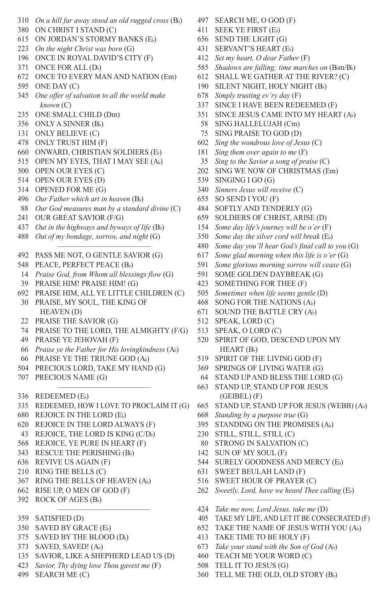- *On a hill far away stood an old rugged cross* (Bb)
- ON CHRIST I STAND (C)
- ON JORDAN'S STORMY BANKS (Eb)
- *On the night Christ was born* (G)
- ONCE IN ROYAL DAVID'S CITY (F)
- ONCE FOR ALL (Db)
- ONCE TO EVERY MAN AND NATION (Em)
- ONE DAY (C)
- *One offer of salvation to all the world make known* (C)
- ONE SMALL CHILD (Dm)
- ONLY A SINNER (Bb)
- ONLY BELIEVE (C)
- ONLY TRUST HIM (F)
- ONWARD, CHRISTIAN SOLDIERS (Eb)
- OPEN MY EYES, THAT I MAY SEE (Ab)
- OPEN OUR EYES (C)
- OPEN OUR EYES (D)
- OPENED FOR ME (G)
- *Our Father which art in heaven* (Bb)
- *Our God measures man by a standard divine* (C)
- OUR GREAT SAVIOR (F/G)
- *Out in the highways and byways of life* (Bb)
- *Out of my bondage, sorrow, and night* (G) –––––––––––––––––––––––––
- PASS ME NOT, O GENTLE SAVIOR (G)
- 548 PEACE, PERFECT PEACE (Bb)
- *Praise God, from Whom all blessings flow* (G)
- PRAISE HIM! PRAISE HIM! (G)
- PRAISE HIM, ALL YE LITTLE CHILDREN (C)
- PRAISE, MY SOUL, THE KING OF HEAVEN (D)
- PRAISE THE SAVIOR (G)
- PRAISE TO THE LORD, THE ALMIGHTY (F/G)
- PRAISE YE JEHOVAH (F)
- *Praise ye the Father for His lovingkindness* (Ab)
- PRAISE YE THE TRIUNE GOD (Ab)
- PRECIOUS LORD, TAKE MY HAND (G)
- PRECIOUS NAME (G)
- REDEEMED (Eb)
- ––––––––––––––––––––––––– REDEEMED, HOW I LOVE TO PROCLAIM IT (G)
- REJOICE IN THE LORD (Eb)
- REJOICE IN THE LORD ALWAYS (F)
- 43 REJOICE, THE LORD IS KING (C/D)
- REJOICE, YE PURE IN HEART (F)
- 343 RESCUE THE PERISHING (B)
- REVIVE US AGAIN (F)
- RING THE BELLS (C)
- RING THE BELLS OF HEAVEN (Ab)
- RISE UP, O MEN OF GOD (F)
- ROCK OF AGES (Bb) –––––––––––––––––––––––––
- SATISFIED (D)
- SAVED BY GRACE (Eb)
- SAVED BY THE BLOOD (Db)
- SAVED, SAVED! (Ab)
- SAVIOR, LIKE A SHEPHERD LEAD US (D)
- *Savior, Thy dying love Thou gavest me* (F)
- SEARCH ME (C)
- SEARCH ME, O GOD (F)
- SEEK YE FIRST (Eb)
- SEND THE LIGHT (G)
- SERVANT'S HEART (Eb)
- *Set my heart, O dear Father* (F)
- *Shadows are falling; time marches on* (Bbm/Bb)
- SHALL WE GATHER AT THE RIVER? (C)
- SILENT NIGHT, HOLY NIGHT (Bb)
- *Simply trusting ev'ry day* (F)
- SINCE I HAVE BEEN REDEEMED (F)
- SINCE JESUS CAME INTO MY HEART (Ab)
- SING HALLELUJAH (Cm)
- SING PRAISE TO GOD (D)
- *Sing the wondrous love of Jesus* (C)
- *Sing them over again to me* (F)
- *Sing to the Savior a song of praise* (C)
- SING WE NOW OF CHRISTMAS (Em)
- SINGING I GO (G)
- *Sinners Jesus will receive* (C)
- SO SEND I YOU (F)
- SOFTLY AND TENDERLY (G)
- SOLDIERS OF CHRIST, ARISE (D)
- *Some day life's journey will be o'er* (F)
- *Some day the silver cord will break* (Eb)
- *Some day you'll hear God's final call to you* (G)
- *Some glad morning when this life is o'er* (G)
- *Some glorious morning sorrow will cease* (G)
- SOME GOLDEN DAYBREAK (G)
- SOMETHING FOR THEE (F)
- *Sometimes when life seems gentle* (D)
- SONG FOR THE NATIONS (Ab)
- SOUND THE BATTLE CRY (Ab)
- SPEAK, LORD (C)
- SPEAK, O LORD (C)
- SPIRIT OF GOD, DESCEND UPON MY HEART (Bb)
- SPIRIT OF THE LIVING GOD (F)
- SPRINGS OF LIVING WATER (G)
- STAND UP AND BLESS THE LORD (G)
- STAND UP, STAND UP FOR JESUS (GEIBEL) (F)
- STAND UP, STAND UP FOR JESUS (WEBB) (Ab)

 *Sweetly, Lord, have we heard Thee calling* (Eb) –––––––––––––––––––––––––

 TAKE MY LIFE, AND LET IT BE CONSECRATED (F) TAKE THE NAME OF JESUS WITH YOU (Ab)

*Take me now, Lord Jesus, take me* (D)

TELL ME THE OLD, OLD STORY (Bb)

 TAKE TIME TO BE HOLY (F) *Take your stand with the Son of God* (Ab) TEACH ME YOUR WORD (C) TELL IT TO JESUS (G)

- *Standing by a purpose true* (G)
- STANDING ON THE PROMISES (Ab)
- STILL, STILL, STILL (C)
- STRONG IN SALVATION (C)

 SWEET BEULAH LAND (F) SWEET HOUR OF PRAYER (C)

 SUN OF MY SOUL (F) SURELY GOODNESS AND MERCY (Eb)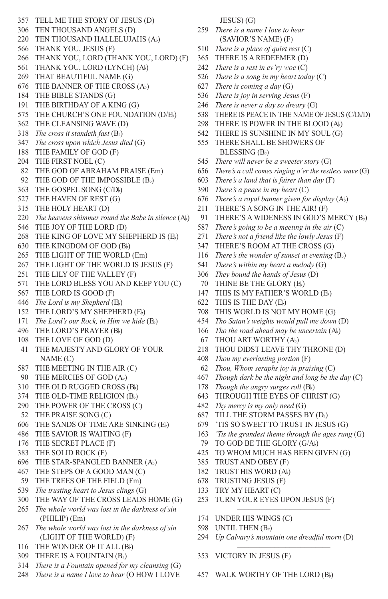TELL ME THE STORY OF JESUS (D) TEN THOUSAND ANGELS (D) TEN THOUSAND HALLELUJAHS (Ab) THANK YOU, JESUS (F) THANK YOU, LORD (THANK YOU, LORD) (F) THANK YOU, LORD (LYNCH) (Ab) THAT BEAUTIFUL NAME (G) THE BANNER OF THE CROSS (Ab) THE BIBLE STANDS (G) THE BIRTHDAY OF A KING (G) THE CHURCH'S ONE FOUNDATION (D/Eb) THE CLEANSING WAVE (D) *The cross it standeth fast* (Bb) *The cross upon which Jesus died* (G) THE FAMILY OF GOD (F) THE FIRST NOEL (C) THE GOD OF ABRAHAM PRAISE (Em) 92 THE GOD OF THE IMPOSSIBLE (B) THE GOSPEL SONG (C/Db) THE HAVEN OF REST (G) THE HOLY HEART (D) *The heavens shimmer round the Babe in silence* (Ab) THE JOY OF THE LORD (D) THE KING OF LOVE MY SHEPHERD IS (Eb) THE KINGDOM OF GOD (Bb) THE LIGHT OF THE WORLD (Em) THE LIGHT OF THE WORLD IS JESUS (F) THE LILY OF THE VALLEY (F) THE LORD BLESS YOU AND KEEP YOU (C) THE LORD IS GOOD (F) *The Lord is my Shepherd* (Eb) THE LORD'S MY SHEPHERD (Eb) *The Lord's our Rock, in Him we hide* (Eb) THE LORD'S PRAYER (Bb) THE LOVE OF GOD (D) THE MAJESTY AND GLORY OF YOUR NAME (C) THE MEETING IN THE AIR (C) THE MERCIES OF GOD (Ab) THE OLD RUGGED CROSS (Bb) THE OLD-TIME RELIGION (Bb) THE POWER OF THE CROSS (C) THE PRAISE SONG (C) THE SANDS OF TIME ARE SINKING (Eb) THE SAVIOR IS WAITING (F) THE SECRET PLACE (F) THE SOLID ROCK (F) THE STAR-SPANGLED BANNER (Ab) THE STEPS OF A GOOD MAN (C) THE TREES OF THE FIELD (Fm) *The trusting heart to Jesus clings* (G) THE WAY OF THE CROSS LEADS HOME (G) *The whole world was lost in the darkness of sin* (PHILIP) (Em) *The whole world was lost in the darkness of sin*  (LIGHT OF THE WORLD) (F) 116 THE WONDER OF IT ALL (Bb) THERE IS A FOUNTAIN (Bb)

*There is a Fountain opened for my cleansing* (G)

*There is a name I love to hear* (O HOW I LOVE

JESUS) (G)

- *There is a name I love to hear* (SAVIOR'S NAME) (F)
- *There is a place of quiet rest* (C)
- THERE IS A REDEEMER (D) *There is a rest in ev'ry woe* (C)
- 
- *There is a song in my heart today* (C)
- *There is coming a day* (G)
- *There is joy in serving Jesus* (F)
- *There is never a day so dreary* (G)
- 538 THERE IS PEACE IN THE NAME OF JESUS (C/D<sub>v</sub>/D)
- THERE IS POWER IN THE BLOOD (Ab)
- THERE IS SUNSHINE IN MY SOUL (G)
- THERE SHALL BE SHOWERS OF BLESSING (Bb)
- *There will never be a sweeter story* (G)
- *There's a call comes ringing o'er the restless wave* (G)
- *There's a land that is fairer than day* (F)
- *There's a peace in my heart* (C)
- *There's a royal banner given for display* (Ab)
- THERE'S A SONG IN THE AIR! (F)
- THERE'S A WIDENESS IN GOD'S MERCY (Bb)
- *There's going to be a meeting in the air* (C)
- *There's not a friend like the lowly Jesus* (F)
- THERE'S ROOM AT THE CROSS (G)
- *There's the wonder of sunset at evening* (Bb)
- *There's within my heart a melody* (G)
- *They bound the hands of Jesus* (D)
- THINE BE THE GLORY (Eb)
- THIS IS MY FATHER'S WORLD (Eb)
- THIS IS THE DAY (Eb)
- THIS WORLD IS NOT MY HOME (G)
- *Tho Satan's weights would pull me down* (D)
- *Tho the road ahead may be uncertain* (Ab)
- THOU ART WORTHY (Ab)
- THOU DIDST LEAVE THY THRONE (D)
- *Thou my everlasting portion* (F)
- *Thou, Whom seraphs joy in praising* (C)
- *Though dark be the night and long be the day* (C)
- *Though the angry surges roll* (Bb)
- THROUGH THE EYES OF CHRIST (G)
- *Thy mercy is my only need* (G)
- TILL THE STORM PASSES BY (Db)
- 'TIS SO SWEET TO TRUST IN JESUS (G)
- *'Tis the grandest theme through the ages rung* (G)
- TO GOD BE THE GLORY (G/Ab)
- TO WHOM MUCH HAS BEEN GIVEN (G)
- TRUST AND OBEY (F)
- TRUST HIS WORD (Ab)
- TRUSTING JESUS (F)
- TRY MY HEART (C)
- TURN YOUR EYES UPON JESUS (F)
- UNDER HIS WINGS (C)
- 598 UNTIL THEN (Bb)
- *Up Calvary's mountain one dreadful morn* (D)

–––––––––––––––––––––––––

–––––––––––––––––––––––––

–––––––––––––––––––––––––

- VICTORY IN JESUS (F)
- WALK WORTHY OF THE LORD (Bb)